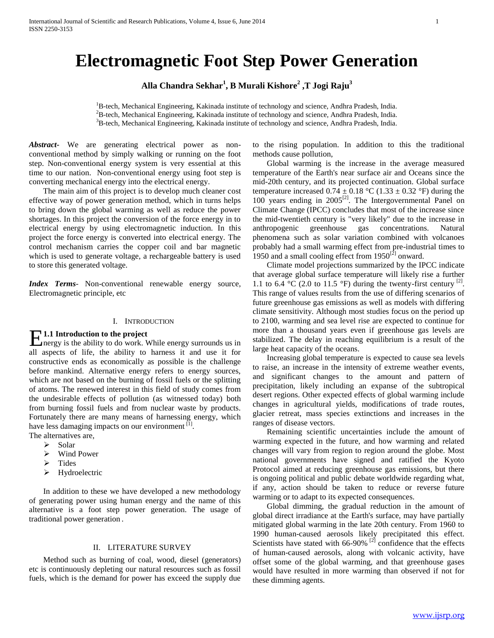# **Electromagnetic Foot Step Power Generation**

**Alla Chandra Sekhar<sup>1</sup> , B Murali Kishore<sup>2</sup> ,T Jogi Raju<sup>3</sup>**

<sup>1</sup>B-tech, Mechanical Engineering, Kakinada institute of technology and science, Andhra Pradesh, India. <sup>2</sup>B-tech, Mechanical Engineering, Kakinada institute of technology and science, Andhra Pradesh, India. <sup>3</sup>B-tech, Mechanical Engineering, Kakinada institute of technology and science, Andhra Pradesh, India.

*Abstract***-** We are generating electrical power as nonconventional method by simply walking or running on the foot step. Non-conventional energy system is very essential at this time to our nation. Non-conventional energy using foot step is converting mechanical energy into the electrical energy.

 The main aim of this project is to develop much cleaner cost effective way of power generation method, which in turns helps to bring down the global warming as well as reduce the power shortages. In this project the conversion of the force energy in to electrical energy by using electromagnetic induction. In this project the force energy is converted into electrical energy. The control mechanism carries the copper coil and bar magnetic which is used to generate voltage, a rechargeable battery is used to store this generated voltage.

*Index Terms*- Non-conventional renewable energy source, Electromagnetic principle, etc

#### I. INTRODUCTION

#### **1.1 Introduction to the project**

**E1.1 Introduction to the project**<br>mergy is the ability to do work. While energy surrounds us in all aspects of life, the ability to harness it and use it for constructive ends as economically as possible is the challenge before mankind. Alternative energy refers to energy sources, which are not based on the burning of fossil fuels or the splitting of atoms. The renewed interest in this field of study comes from the undesirable effects of pollution (as witnessed today) both from burning fossil fuels and from nuclear waste by products. Fortunately there are many means of harnessing energy, which have less damaging impacts on our environment  $\left[1\right]$ .

- The alternatives are,
	- $\triangleright$  Solar
	- Wind Power
	- $\triangleright$  Tides
	- > Hydroelectric

 In addition to these we have developed a new methodology of generating power using human energy and the name of this alternative is a foot step power generation. The usage of traditional power generation .

#### II. LITERATURE SURVEY

 Method such as burning of coal, wood, diesel (generators) etc is continuously depleting our natural resources such as fossil fuels, which is the demand for power has exceed the supply due to the rising population. In addition to this the traditional methods cause pollution,

 Global warming is the increase in the average measured temperature of the Earth's near surface air and Oceans since the mid-20th century, and its projected continuation. Global surface temperature increased  $0.74 \pm 0.18$  °C (1.33  $\pm$  0.32 °F) during the  $100$  years ending in 2005<sup>[2]</sup>. The Intergovernmental Panel on Climate Change (IPCC) concludes that most of the increase since the mid-twentieth century is "very likely" due to the increase in anthropogenic greenhouse gas concentrations. Natural phenomena such as solar variation combined with volcanoes probably had a small warming effect from pre-industrial times to 1950 and a small cooling effect from  $1950^{[2]}$  onward.

 Climate model projections summarized by the IPCC indicate that average global surface temperature will likely rise a further 1.1 to  $6.4\textdegree$ C (2.0 to 11.5  $\textdegree$ F) during the twenty-first century <sup>[2]</sup>. This range of values results from the use of differing scenarios of future greenhouse gas emissions as well as models with differing climate sensitivity. Although most studies focus on the period up to 2100, warming and sea level rise are expected to continue for more than a thousand years even if greenhouse gas levels are stabilized. The delay in reaching equilibrium is a result of the large heat capacity of the oceans.

 Increasing global temperature is expected to cause sea levels to raise, an increase in the intensity of extreme weather events, and significant changes to the amount and pattern of precipitation, likely including an expanse of the subtropical desert regions. Other expected effects of global warming include changes in agricultural yields, modifications of trade routes, glacier retreat, mass species extinctions and increases in the ranges of disease vectors.

 Remaining scientific uncertainties include the amount of warming expected in the future, and how warming and related changes will vary from region to region around the globe. Most national governments have signed and ratified the Kyoto Protocol aimed at reducing greenhouse gas emissions, but there is ongoing political and public debate worldwide regarding what, if any, action should be taken to reduce or reverse future warming or to adapt to its expected consequences.

 Global dimming, the gradual reduction in the amount of global direct irradiance at the Earth's surface, may have partially mitigated global warming in the late 20th century. From 1960 to 1990 human-caused aerosols likely precipitated this effect. Scientists have stated with  $66-90\%$  <sup>[2]</sup> confidence that the effects of human-caused aerosols, along with volcanic activity, have offset some of the global warming, and that greenhouse gases would have resulted in more warming than observed if not for these dimming agents.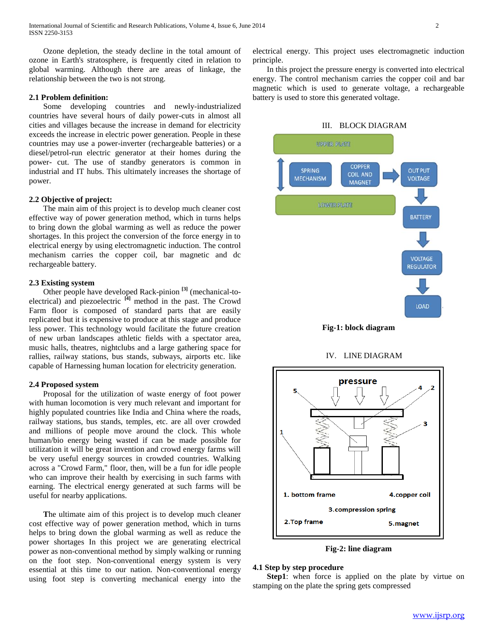Ozone depletion, the steady decline in the total amount of ozone in Earth's stratosphere, is frequently cited in relation to global warming. Although there are areas of linkage, the relationship between the two is not strong.

#### **2.1 Problem definition:**

 Some developing countries and newly-industrialized countries have several hours of daily power-cuts in almost all cities and villages because the increase in demand for electricity exceeds the increase in electric power generation. People in these countries may use a power-inverter (rechargeable batteries) or a diesel/petrol-run electric generator at their homes during the power- cut. The use of standby generators is common in industrial and IT hubs. This ultimately increases the shortage of power.

#### **2.2 Objective of project:**

 The main aim of this project is to develop much cleaner cost effective way of power generation method, which in turns helps to bring down the global warming as well as reduce the power shortages. In this project the conversion of the force energy in to electrical energy by using electromagnetic induction. The control mechanism carries the copper coil, bar magnetic and dc rechargeable battery.

#### **2.3 Existing system**

 Other people have developed Rack-pinion **[3]** (mechanical-toelectrical) and piezoelectric **[4]** method in the past. The Crowd Farm floor is composed of standard parts that are easily replicated but it is expensive to produce at this stage and produce less power. This technology would facilitate the future creation of new urban landscapes athletic fields with a spectator area, music halls, theatres, nightclubs and a large gathering space for rallies, railway stations, bus stands, subways, airports etc. like capable of Harnessing human location for electricity generation.

#### **2.4 Proposed system**

 Proposal for the utilization of waste energy of foot power with human locomotion is very much relevant and important for highly populated countries like India and China where the roads, railway stations, bus stands, temples, etc. are all over crowded and millions of people move around the clock. This whole human/bio energy being wasted if can be made possible for utilization it will be great invention and crowd energy farms will be very useful energy sources in crowded countries. Walking across a "Crowd Farm," floor, then, will be a fun for idle people who can improve their health by exercising in such farms with earning. The electrical energy generated at such farms will be useful for nearby applications.

 **T**he ultimate aim of this project is to develop much cleaner cost effective way of power generation method, which in turns helps to bring down the global warming as well as reduce the power shortages In this project we are generating electrical power as non-conventional method by simply walking or running on the foot step. Non-conventional energy system is very essential at this time to our nation. Non-conventional energy using foot step is converting mechanical energy into the electrical energy. This project uses electromagnetic induction principle.

 In this project the pressure energy is converted into electrical energy. The control mechanism carries the copper coil and bar magnetic which is used to generate voltage, a rechargeable battery is used to store this generated voltage.

#### III. BLOCK DIAGRAM



**Fig-1: block diagram**

IV. LINE DIAGRAM



**Fig-2: line diagram**

#### **4.1 Step by step procedure**

**Step1**: when force is applied on the plate by virtue on stamping on the plate the spring gets compressed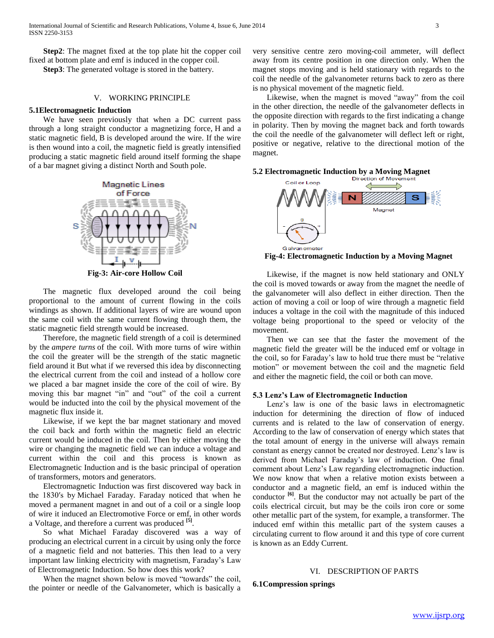**Step2**: The magnet fixed at the top plate hit the copper coil fixed at bottom plate and emf is induced in the copper coil.

**Step3**: The generated voltage is stored in the battery.

#### V. WORKING PRINCIPLE

#### **5.1Electromagnetic Induction**

 We have seen previously that when a DC current pass through a long straight conductor a magnetizing force, H and a static magnetic field, B is developed around the wire. If the wire is then wound into a coil, the magnetic field is greatly intensified producing a static magnetic field around itself forming the shape of a bar magnet giving a distinct North and South pole.



 The magnetic flux developed around the coil being proportional to the amount of current flowing in the coils windings as shown. If additional layers of wire are wound upon the same coil with the same current flowing through them, the static magnetic field strength would be increased.

 Therefore, the magnetic field strength of a coil is determined by the *ampere turns* of the coil. With more turns of wire within the coil the greater will be the strength of the static magnetic field around it But what if we reversed this idea by disconnecting the electrical current from the coil and instead of a hollow core we placed a bar magnet inside the core of the coil of wire. By moving this bar magnet "in" and "out" of the coil a current would be inducted into the coil by the physical movement of the magnetic flux inside it.

 Likewise, if we kept the bar magnet stationary and moved the coil back and forth within the magnetic field an electric current would be induced in the coil. Then by either moving the wire or changing the magnetic field we can induce a voltage and current within the coil and this process is known as Electromagnetic Induction and is the basic principal of operation of transformers, motors and generators.

 Electromagnetic Induction was first discovered way back in the 1830′s by Michael Faraday. Faraday noticed that when he moved a permanent magnet in and out of a coil or a single loop of wire it induced an Electromotive Force or emf, in other words a Voltage, and therefore a current was produced **[5]** .

 So what Michael Faraday discovered was a way of producing an electrical current in a circuit by using only the force of a magnetic field and not batteries. This then lead to a very important law linking electricity with magnetism, Faraday's Law of Electromagnetic Induction. So how does this work?

When the magnet shown below is moved "towards" the coil, the pointer or needle of the Galvanometer, which is basically a

very sensitive centre zero moving-coil ammeter, will deflect away from its centre position in one direction only. When the magnet stops moving and is held stationary with regards to the coil the needle of the galvanometer returns back to zero as there is no physical movement of the magnetic field.

 Likewise, when the magnet is moved "away" from the coil in the other direction, the needle of the galvanometer deflects in the opposite direction with regards to the first indicating a change in polarity. Then by moving the magnet back and forth towards the coil the needle of the galvanometer will deflect left or right, positive or negative, relative to the directional motion of the magnet.





**Fig-4: Electromagnetic Induction by a Moving Magnet**

 Likewise, if the magnet is now held stationary and ONLY the coil is moved towards or away from the magnet the needle of the galvanometer will also deflect in either direction. Then the action of moving a coil or loop of wire through a magnetic field induces a voltage in the coil with the magnitude of this induced voltage being proportional to the speed or velocity of the movement.

 Then we can see that the faster the movement of the magnetic field the greater will be the induced emf or voltage in the coil, so for Faraday's law to hold true there must be "relative motion" or movement between the coil and the magnetic field and either the magnetic field, the coil or both can move.

#### **5.3 Lenz's Law of Electromagnetic Induction**

 Lenz's law is one of the basic laws in electromagnetic induction for determining the direction of flow of induced currents and is related to the law of conservation of energy. According to the law of conservation of energy which states that the total amount of energy in the universe will always remain constant as energy cannot be created nor destroyed. Lenz's law is derived from Michael Faraday's law of induction. One final comment about Lenz's Law regarding electromagnetic induction. We now know that when a relative motion exists between a conductor and a magnetic field, an emf is induced within the conductor **[6]**. But the conductor may not actually be part of the coils electrical circuit, but may be the coils iron core or some other metallic part of the system, for example, a transformer. The induced emf within this metallic part of the system causes a circulating current to flow around it and this type of core current is known as an Eddy Current.

#### VI. DESCRIPTION OF PARTS

**6.1Compression springs**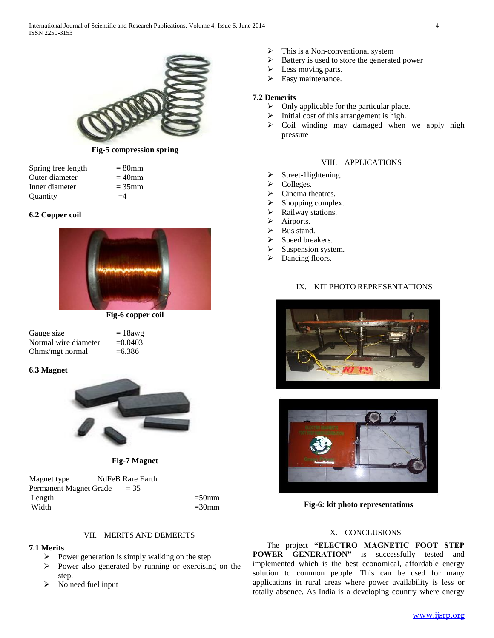

**Fig-5 compression spring**

| Spring free length | $= 80$ mm |
|--------------------|-----------|
| Outer diameter     | $=40$ mm  |
| Inner diameter     | $=35$ mm  |
| Quantity           | $=4$      |

## **6.2 Copper coil**



**Fig-6 copper coil**

| Gauge size           | $= 18$ awg |
|----------------------|------------|
| Normal wire diameter | $= 0.0403$ |
| Ohms/mgt normal      | $=6.386$   |

## **6.3 Magnet**





Magnet type NdFeB Rare Earth Permanent Magnet Grade = 35 Length  $=50$ mm Width  $=30$ mm

## VII. MERITS AND DEMERITS

## **7.1 Merits**

- $\triangleright$  Power generation is simply walking on the step
- $\triangleright$  Power also generated by running or exercising on the step.
- $\triangleright$  No need fuel input
- This is a Non-conventional system
- $\triangleright$  Battery is used to store the generated power
- $\triangleright$  Less moving parts.
- $\triangleright$  Easy maintenance.

## **7.2 Demerits**

- $\triangleright$  Only applicable for the particular place.
- $\triangleright$  Initial cost of this arrangement is high.
- $\triangleright$  Coil winding may damaged when we apply high pressure

# VIII. APPLICATIONS

- $\triangleright$  Street-1lightening.
- $\triangleright$  Colleges.
- $\triangleright$  Cinema theatres.
- $\triangleright$  Shopping complex.
- $\triangleright$  Railway stations.
- > Airports.
- > Bus stand.
- $\triangleright$  Speed breakers.
- $\triangleright$  Suspension system.
- > Dancing floors.

## IX. KIT PHOTO REPRESENTATIONS





**Fig-6: kit photo representations**

## X. CONCLUSIONS

 The project **"ELECTRO MAGNETIC FOOT STEP POWER GENERATION"** is successfully tested and implemented which is the best economical, affordable energy solution to common people. This can be used for many applications in rural areas where power availability is less or totally absence. As India is a developing country where energy